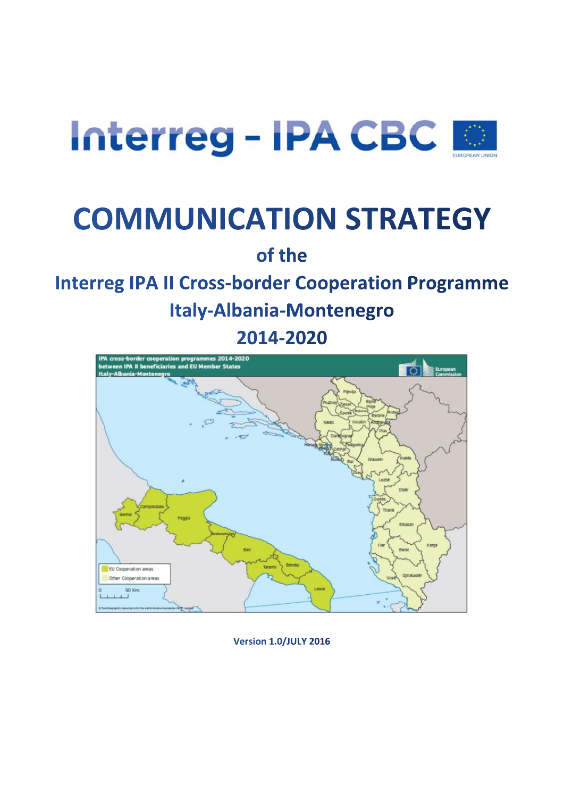

# **COMMUNICATION STRATEGY**

of the

## **Interreg IPA II Cross-border Cooperation Programme**

**Italy-Albania-Montenegro** 

2014-2020



**Version 1.0/JULY 2016**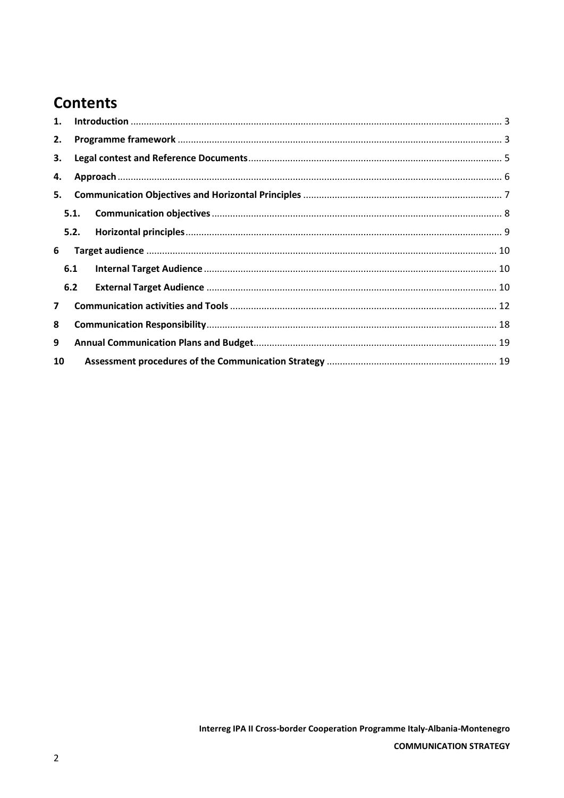### **Contents**

| 1.             |      |  |  |  |  |  |
|----------------|------|--|--|--|--|--|
| 2.             |      |  |  |  |  |  |
| 3.             |      |  |  |  |  |  |
| 4.             |      |  |  |  |  |  |
| 5.             |      |  |  |  |  |  |
|                | 5.1. |  |  |  |  |  |
|                | 5.2. |  |  |  |  |  |
| 6              |      |  |  |  |  |  |
|                | 6.1  |  |  |  |  |  |
|                | 6.2  |  |  |  |  |  |
| $\overline{7}$ |      |  |  |  |  |  |
| 8              |      |  |  |  |  |  |
| 9              |      |  |  |  |  |  |
| 10             |      |  |  |  |  |  |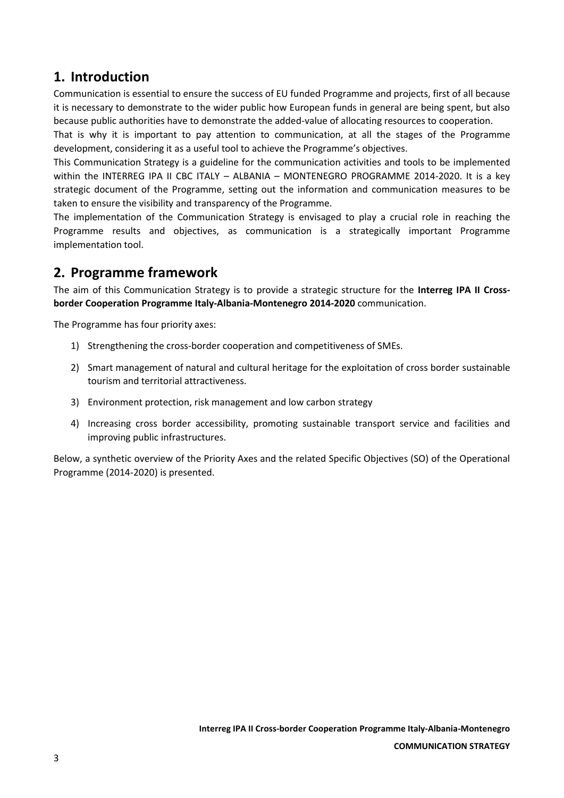### <span id="page-2-0"></span>**1. Introduction**

Communication is essential to ensure the success of EU funded Programme and projects, first of all because it is necessary to demonstrate to the wider public how European funds in general are being spent, but also because public authorities have to demonstrate the added-value of allocating resources to cooperation.

That is why it is important to pay attention to communication, at all the stages of the Programme development, considering it as a useful tool to achieve the Programme's objectives.

This Communication Strategy is a guideline for the communication activities and tools to be implemented within the INTERREG IPA II CBC ITALY – ALBANIA – MONTENEGRO PROGRAMME 2014-2020. It is a key strategic document of the Programme, setting out the information and communication measures to be taken to ensure the visibility and transparency of the Programme.

The implementation of the Communication Strategy is envisaged to play a crucial role in reaching the Programme results and objectives, as communication is a strategically important Programme implementation tool.

### <span id="page-2-1"></span>**2. Programme framework**

The aim of this Communication Strategy is to provide a strategic structure for the **Interreg IPA II Crossborder Cooperation Programme Italy-Albania-Montenegro 2014-2020** communication.

The Programme has four priority axes:

- 1) Strengthening the cross-border cooperation and competitiveness of SMEs.
- 2) Smart management of natural and cultural heritage for the exploitation of cross border sustainable tourism and territorial attractiveness.
- 3) Environment protection, risk management and low carbon strategy
- 4) Increasing cross border accessibility, promoting sustainable transport service and facilities and improving public infrastructures.

Below, a synthetic overview of the Priority Axes and the related Specific Objectives (SO) of the Operational Programme (2014-2020) is presented.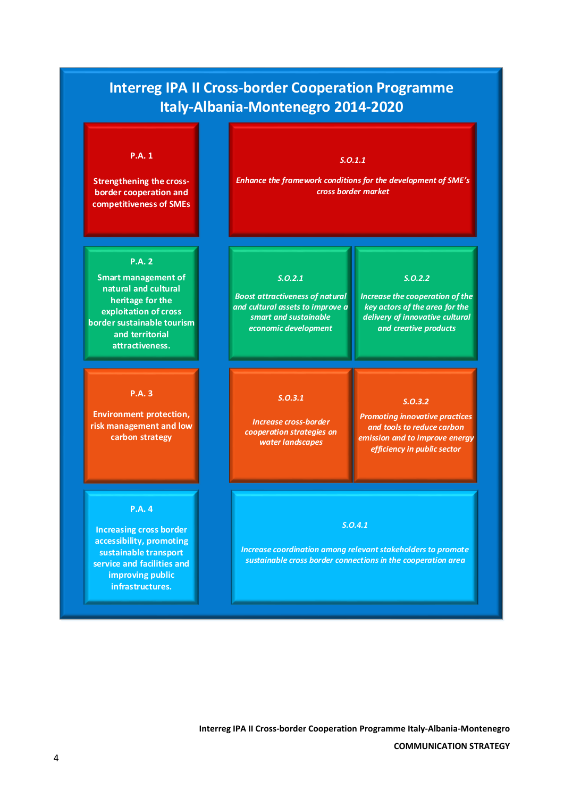### **Interreg IPA II Cross-border Cooperation Programme Italy-Albania-Montenegro 2014-2020**

#### **P.A. 1**

**Strengthening the crossborder cooperation and competitiveness of SMEs**

#### **P.A. 2**

**Smart management of natural and cultural heritage for the exploitation of cross border sustainable tourism and territorial attractiveness.**

#### **P.A. 3**

**Environment protection, risk management and low carbon strategy**

#### **P.A. 4**

**Increasing cross border accessibility, promoting sustainable transport service and facilities and improving public infrastructures.**

#### *S.O.1.1*

*Enhance the framework conditions for the development of SME s cross border market*

#### *S.O.2.1*

*Boost attractiveness of natural and cultural assets to improve a smart and sustainable economic development*

*Increase cross-border cooperation strategies on water landscapes*

*S.O.3.1*

*Promoting innovative practices and tools to reduce carbon emission and to improve energy efficiency in public sector*

*S.O.3.2*

*S.O.2.2 Increase the cooperation of the key actors of the area for the delivery of innovative cultural and creative products*

#### *S.O.4.1*

*Increase coordination among relevant stakeholders to promote sustainable cross border connections in the cooperation area*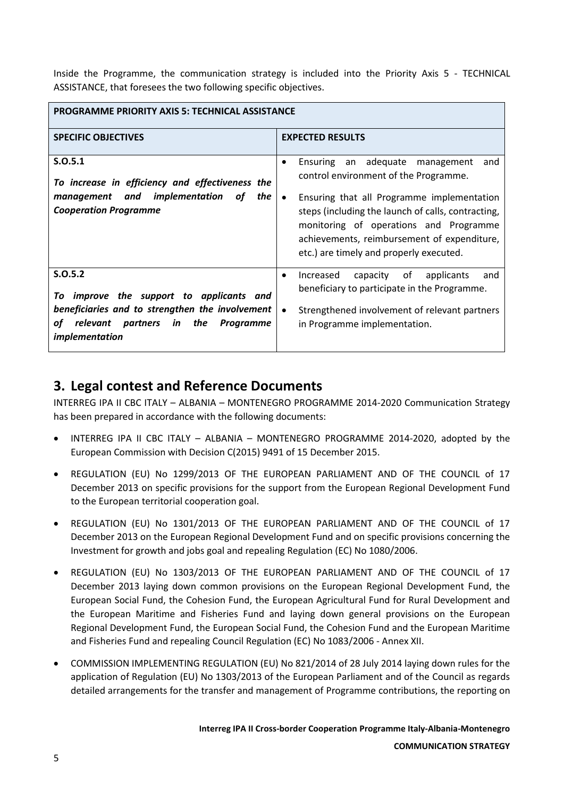Inside the Programme, the communication strategy is included into the Priority Axis 5 - TECHNICAL ASSISTANCE, that foresees the two following specific objectives.

| <b>PROGRAMME PRIORITY AXIS 5: TECHNICAL ASSISTANCE</b>                                                                                                                           |                                                                                                                                                                                                                                      |  |  |
|----------------------------------------------------------------------------------------------------------------------------------------------------------------------------------|--------------------------------------------------------------------------------------------------------------------------------------------------------------------------------------------------------------------------------------|--|--|
| <b>SPECIFIC OBJECTIVES</b>                                                                                                                                                       | <b>EXPECTED RESULTS</b>                                                                                                                                                                                                              |  |  |
| S.0.5.1<br>To increase in efficiency and effectiveness the<br>the I                                                                                                              | an adequate<br>Ensuring<br>management<br>and<br>$\bullet$<br>control environment of the Programme.<br>$\bullet$                                                                                                                      |  |  |
| and implementation<br>management<br>οf<br><b>Cooperation Programme</b>                                                                                                           | Ensuring that all Programme implementation<br>steps (including the launch of calls, contracting,<br>monitoring of operations and Programme<br>achievements, reimbursement of expenditure,<br>etc.) are timely and properly executed. |  |  |
| S.0.5.2<br>improve the support to applicants and<br>Τo<br>beneficiaries and to strengthen the involvement<br>relevant partners<br>in<br>the<br>οf<br>Programme<br>implementation | of<br>Increased<br>capacity<br>applicants<br>and<br>$\bullet$<br>beneficiary to participate in the Programme.<br>Strengthened involvement of relevant partners<br>$\bullet$<br>in Programme implementation.                          |  |  |

### <span id="page-4-0"></span>**3. Legal contest and Reference Documents**

INTERREG IPA II CBC ITALY – ALBANIA – MONTENEGRO PROGRAMME 2014-2020 Communication Strategy has been prepared in accordance with the following documents:

- INTERREG IPA II CBC ITALY ALBANIA MONTENEGRO PROGRAMME 2014-2020, adopted by the European Commission with Decision C(2015) 9491 of 15 December 2015.
- REGULATION (EU) No 1299/2013 OF THE EUROPEAN PARLIAMENT AND OF THE COUNCIL of 17 December 2013 on specific provisions for the support from the European Regional Development Fund to the European territorial cooperation goal.
- REGULATION (EU) No 1301/2013 OF THE EUROPEAN PARLIAMENT AND OF THE COUNCIL of 17 December 2013 on the European Regional Development Fund and on specific provisions concerning the Investment for growth and jobs goal and repealing Regulation (EC) No 1080/2006.
- REGULATION (EU) No 1303/2013 OF THE EUROPEAN PARLIAMENT AND OF THE COUNCIL of 17 December 2013 laying down common provisions on the European Regional Development Fund, the European Social Fund, the Cohesion Fund, the European Agricultural Fund for Rural Development and the European Maritime and Fisheries Fund and laying down general provisions on the European Regional Development Fund, the European Social Fund, the Cohesion Fund and the European Maritime and Fisheries Fund and repealing Council Regulation (EC) No 1083/2006 - Annex XII.
- COMMISSION IMPLEMENTING REGULATION (EU) No 821/2014 of 28 July 2014 laying down rules for the application of Regulation (EU) No 1303/2013 of the European Parliament and of the Council as regards detailed arrangements for the transfer and management of Programme contributions, the reporting on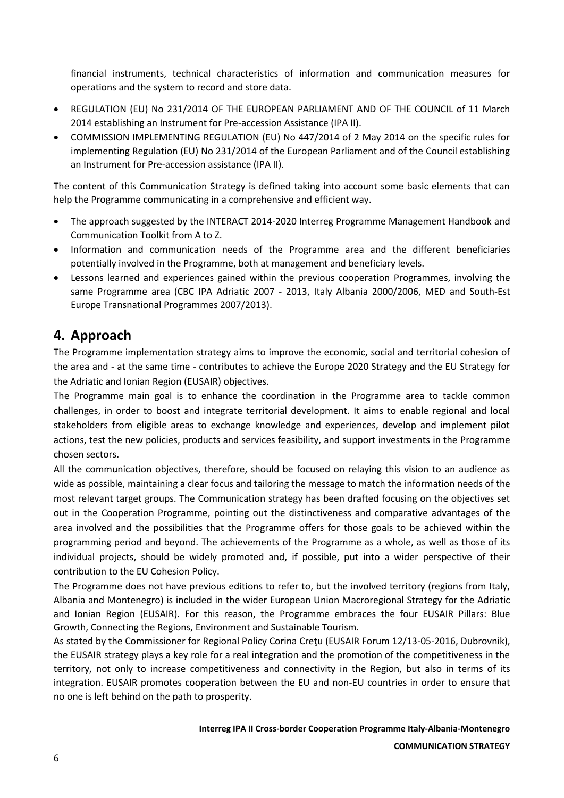financial instruments, technical characteristics of information and communication measures for operations and the system to record and store data.

- REGULATION (EU) No 231/2014 OF THE EUROPEAN PARLIAMENT AND OF THE COUNCIL of 11 March 2014 establishing an Instrument for Pre-accession Assistance (IPA II).
- COMMISSION IMPLEMENTING REGULATION (EU) No 447/2014 of 2 May 2014 on the specific rules for implementing Regulation (EU) No 231/2014 of the European Parliament and of the Council establishing an Instrument for Pre-accession assistance (IPA II).

The content of this Communication Strategy is defined taking into account some basic elements that can help the Programme communicating in a comprehensive and efficient way.

- The approach suggested by the INTERACT 2014-2020 Interreg Programme Management Handbook and Communication Toolkit from A to Z.
- Information and communication needs of the Programme area and the different beneficiaries potentially involved in the Programme, both at management and beneficiary levels.
- Lessons learned and experiences gained within the previous cooperation Programmes, involving the same Programme area (CBC IPA Adriatic 2007 - 2013, Italy Albania 2000/2006, MED and South-Est Europe Transnational Programmes 2007/2013).

### <span id="page-5-0"></span>**4. Approach**

The Programme implementation strategy aims to improve the economic, social and territorial cohesion of the area and - at the same time - contributes to achieve the Europe 2020 Strategy and the EU Strategy for the Adriatic and Ionian Region (EUSAIR) objectives.

The Programme main goal is to enhance the coordination in the Programme area to tackle common challenges, in order to boost and integrate territorial development. It aims to enable regional and local stakeholders from eligible areas to exchange knowledge and experiences, develop and implement pilot actions, test the new policies, products and services feasibility, and support investments in the Programme chosen sectors.

All the communication objectives, therefore, should be focused on relaying this vision to an audience as wide as possible, maintaining a clear focus and tailoring the message to match the information needs of the most relevant target groups. The Communication strategy has been drafted focusing on the objectives set out in the Cooperation Programme, pointing out the distinctiveness and comparative advantages of the area involved and the possibilities that the Programme offers for those goals to be achieved within the programming period and beyond. The achievements of the Programme as a whole, as well as those of its individual projects, should be widely promoted and, if possible, put into a wider perspective of their contribution to the EU Cohesion Policy.

The Programme does not have previous editions to refer to, but the involved territory (regions from Italy, Albania and Montenegro) is included in the wider European Union Macroregional Strategy for the Adriatic and Ionian Region (EUSAIR). For this reason, the Programme embraces the four EUSAIR Pillars: Blue Growth, Connecting the Regions, Environment and Sustainable Tourism.

As stated by the Commissioner for Regional Policy Corina Creţu (EUSAIR Forum 12/13-05-2016, Dubrovnik), the EUSAIR strategy plays a key role for a real integration and the promotion of the competitiveness in the territory, not only to increase competitiveness and connectivity in the Region, but also in terms of its integration. EUSAIR promotes cooperation between the EU and non-EU countries in order to ensure that no one is left behind on the path to prosperity.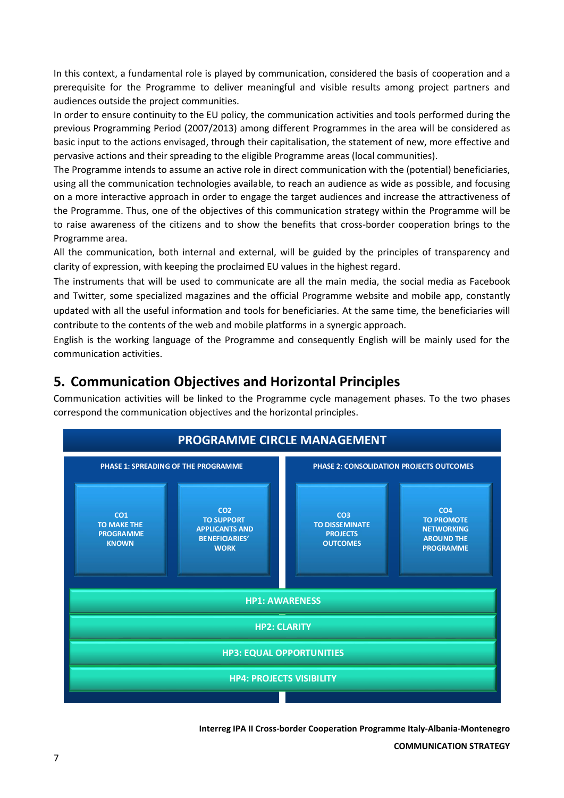In this context, a fundamental role is played by communication, considered the basis of cooperation and a prerequisite for the Programme to deliver meaningful and visible results among project partners and audiences outside the project communities.

In order to ensure continuity to the EU policy, the communication activities and tools performed during the previous Programming Period (2007/2013) among different Programmes in the area will be considered as basic input to the actions envisaged, through their capitalisation, the statement of new, more effective and pervasive actions and their spreading to the eligible Programme areas (local communities).

The Programme intends to assume an active role in direct communication with the (potential) beneficiaries, using all the communication technologies available, to reach an audience as wide as possible, and focusing on a more interactive approach in order to engage the target audiences and increase the attractiveness of the Programme. Thus, one of the objectives of this communication strategy within the Programme will be to raise awareness of the citizens and to show the benefits that cross-border cooperation brings to the Programme area.

All the communication, both internal and external, will be guided by the principles of transparency and clarity of expression, with keeping the proclaimed EU values in the highest regard.

The instruments that will be used to communicate are all the main media, the social media as Facebook and Twitter, some specialized magazines and the official Programme website and mobile app, constantly updated with all the useful information and tools for beneficiaries. At the same time, the beneficiaries will contribute to the contents of the web and mobile platforms in a synergic approach.

English is the working language of the Programme and consequently English will be mainly used for the communication activities.

### <span id="page-6-0"></span>**5. Communication Objectives and Horizontal Principles**

Communication activities will be linked to the Programme cycle management phases. To the two phases correspond the communication objectives and the horizontal principles.

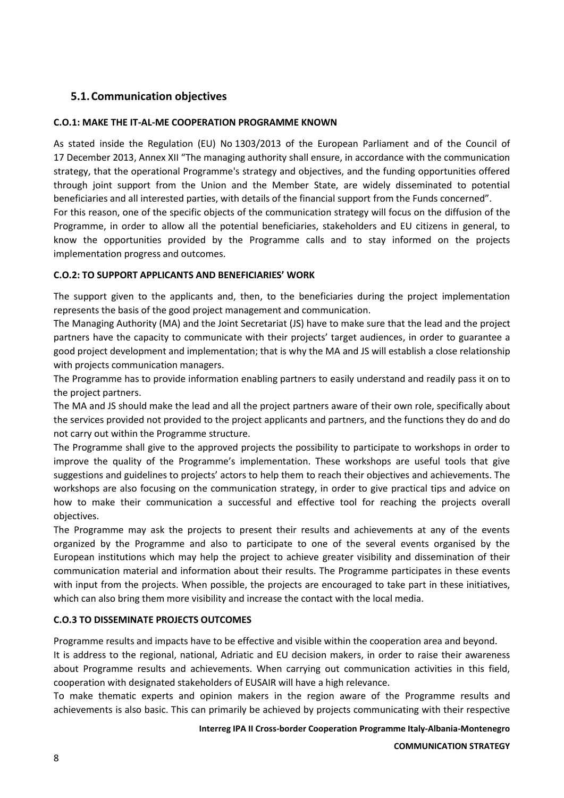### <span id="page-7-0"></span>**5.1.Communication objectives**

#### **C.O.1: MAKE THE IT-AL-ME COOPERATION PROGRAMME KNOWN**

As stated inside the Regulation (EU) No 1303/2013 of the European Parliament and of the Council of 17 December 2013, Annex XII "The managing authority shall ensure, in accordance with the communication strategy, that the operational Programme's strategy and objectives, and the funding opportunities offered through joint support from the Union and the Member State, are widely disseminated to potential beneficiaries and all interested parties, with details of the financial support from the Funds concerned".

For this reason, one of the specific objects of the communication strategy will focus on the diffusion of the Programme, in order to allow all the potential beneficiaries, stakeholders and EU citizens in general, to know the opportunities provided by the Programme calls and to stay informed on the projects implementation progress and outcomes.

#### **C.O.2: TO SUPPORT APPLICANTS AND BENEFICIARIES' WORK**

The support given to the applicants and, then, to the beneficiaries during the project implementation represents the basis of the good project management and communication.

The Managing Authority (MA) and the Joint Secretariat (JS) have to make sure that the lead and the project partners have the capacity to communicate with their projects' target audiences, in order to guarantee a good project development and implementation; that is why the MA and JS will establish a close relationship with projects communication managers.

The Programme has to provide information enabling partners to easily understand and readily pass it on to the project partners.

The MA and JS should make the lead and all the project partners aware of their own role, specifically about the services provided not provided to the project applicants and partners, and the functions they do and do not carry out within the Programme structure.

The Programme shall give to the approved projects the possibility to participate to workshops in order to improve the quality of the Programme's implementation. These workshops are useful tools that give suggestions and guidelines to projects' actors to help them to reach their objectives and achievements. The workshops are also focusing on the communication strategy, in order to give practical tips and advice on how to make their communication a successful and effective tool for reaching the projects overall objectives.

The Programme may ask the projects to present their results and achievements at any of the events organized by the Programme and also to participate to one of the several events organised by the European institutions which may help the project to achieve greater visibility and dissemination of their communication material and information about their results. The Programme participates in these events with input from the projects. When possible, the projects are encouraged to take part in these initiatives, which can also bring them more visibility and increase the contact with the local media.

#### **C.O.3 TO DISSEMINATE PROJECTS OUTCOMES**

Programme results and impacts have to be effective and visible within the cooperation area and beyond.

It is address to the regional, national, Adriatic and EU decision makers, in order to raise their awareness about Programme results and achievements. When carrying out communication activities in this field, cooperation with designated stakeholders of EUSAIR will have a high relevance.

To make thematic experts and opinion makers in the region aware of the Programme results and achievements is also basic. This can primarily be achieved by projects communicating with their respective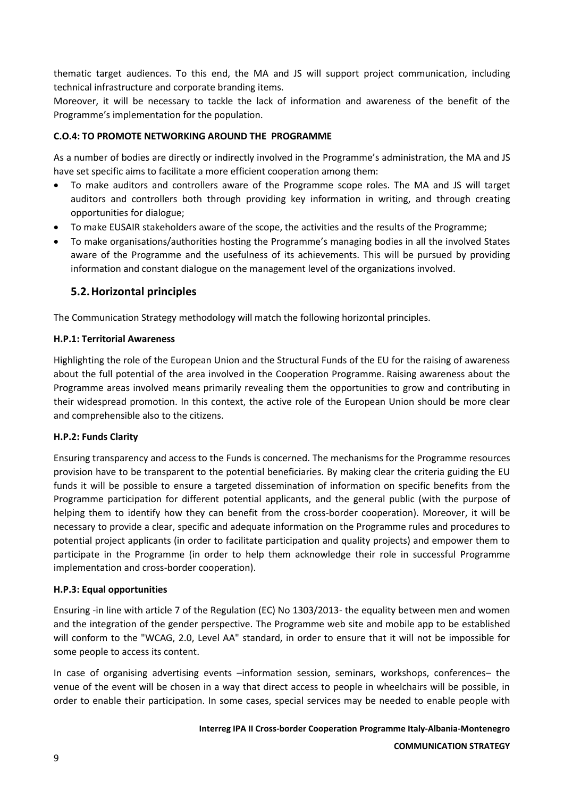thematic target audiences. To this end, the MA and JS will support project communication, including technical infrastructure and corporate branding items.

Moreover, it will be necessary to tackle the lack of information and awareness of the benefit of the Programme's implementation for the population.

#### **C.O.4: TO PROMOTE NETWORKING AROUND THE PROGRAMME**

As a number of bodies are directly or indirectly involved in the Programme's administration, the MA and JS have set specific aims to facilitate a more efficient cooperation among them:

- To make auditors and controllers aware of the Programme scope roles. The MA and JS will target auditors and controllers both through providing key information in writing, and through creating opportunities for dialogue;
- To make EUSAIR stakeholders aware of the scope, the activities and the results of the Programme;
- To make organisations/authorities hosting the Programme's managing bodies in all the involved States aware of the Programme and the usefulness of its achievements. This will be pursued by providing information and constant dialogue on the management level of the organizations involved.

### <span id="page-8-0"></span>**5.2.Horizontal principles**

The Communication Strategy methodology will match the following horizontal principles.

#### **H.P.1: Territorial Awareness**

Highlighting the role of the European Union and the Structural Funds of the EU for the raising of awareness about the full potential of the area involved in the Cooperation Programme. Raising awareness about the Programme areas involved means primarily revealing them the opportunities to grow and contributing in their widespread promotion. In this context, the active role of the European Union should be more clear and comprehensible also to the citizens.

#### **H.P.2: Funds Clarity**

Ensuring transparency and access to the Funds is concerned. The mechanisms for the Programme resources provision have to be transparent to the potential beneficiaries. By making clear the criteria guiding the EU funds it will be possible to ensure a targeted dissemination of information on specific benefits from the Programme participation for different potential applicants, and the general public (with the purpose of helping them to identify how they can benefit from the cross-border cooperation). Moreover, it will be necessary to provide a clear, specific and adequate information on the Programme rules and procedures to potential project applicants (in order to facilitate participation and quality projects) and empower them to participate in the Programme (in order to help them acknowledge their role in successful Programme implementation and cross-border cooperation).

#### **H.P.3: Equal opportunities**

Ensuring -in line with article 7 of the Regulation (EC) No 1303/2013- the equality between men and women and the integration of the gender perspective. The Programme web site and mobile app to be established will conform to the "WCAG, 2.0, Level AA" standard, in order to ensure that it will not be impossible for some people to access its content.

In case of organising advertising events -information session, seminars, workshops, conferences- the venue of the event will be chosen in a way that direct access to people in wheelchairs will be possible, in order to enable their participation. In some cases, special services may be needed to enable people with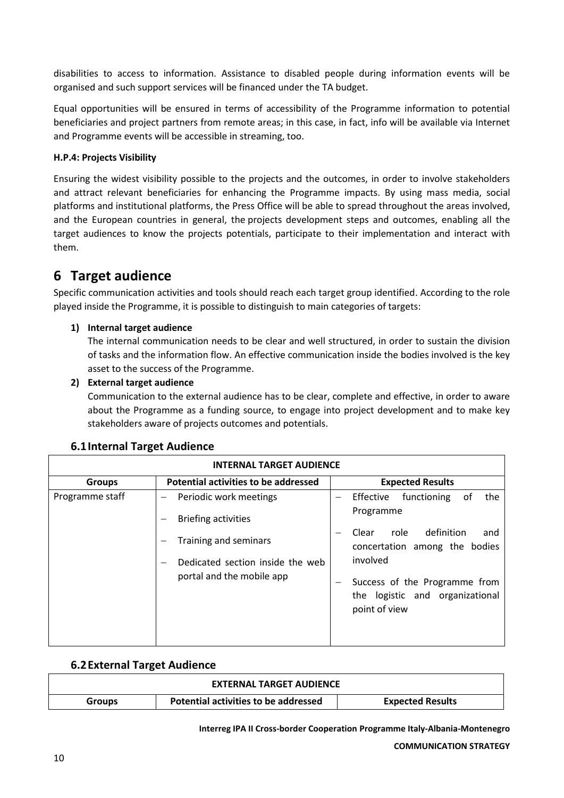disabilities to access to information. Assistance to disabled people during information events will be organised and such support services will be financed under the TA budget.

Equal opportunities will be ensured in terms of accessibility of the Programme information to potential beneficiaries and project partners from remote areas; in this case, in fact, info will be available via Internet and Programme events will be accessible in streaming, too.

#### **H.P.4: Projects Visibility**

Ensuring the widest visibility possible to the projects and the outcomes, in order to involve stakeholders and attract relevant beneficiaries for enhancing the Programme impacts. By using mass media, social platforms and institutional platforms, the Press Office will be able to spread throughout the areas involved, and the European countries in general, the projects development steps and outcomes, enabling all the target audiences to know the projects potentials, participate to their implementation and interact with them.

### <span id="page-9-0"></span>**6 Target audience**

Specific communication activities and tools should reach each target group identified. According to the role played inside the Programme, it is possible to distinguish to main categories of targets:

#### **1) Internal target audience**

The internal communication needs to be clear and well structured, in order to sustain the division of tasks and the information flow. An effective communication inside the bodies involved is the key asset to the success of the Programme.

#### **2) External target audience**

Communication to the external audience has to be clear, complete and effective, in order to aware about the Programme as a funding source, to engage into project development and to make key stakeholders aware of projects outcomes and potentials.

<span id="page-9-1"></span>

| <b>INTERNAL TARGET AUDIENCE</b> |                                                                                                                                                |                                                                                                                                                                                                                                                           |  |  |
|---------------------------------|------------------------------------------------------------------------------------------------------------------------------------------------|-----------------------------------------------------------------------------------------------------------------------------------------------------------------------------------------------------------------------------------------------------------|--|--|
| <b>Groups</b>                   | Potential activities to be addressed                                                                                                           | <b>Expected Results</b>                                                                                                                                                                                                                                   |  |  |
| Programme staff                 | Periodic work meetings<br><b>Briefing activities</b><br>Training and seminars<br>Dedicated section inside the web<br>portal and the mobile app | functioning<br>0f<br>the<br>Effective<br>$\overline{\phantom{0}}$<br>Programme<br>definition<br>role<br>Clear<br>and<br>concertation among the bodies<br>involved<br>Success of the Programme from<br>logistic and organizational<br>the<br>point of view |  |  |

#### **6.1Internal Target Audience**

#### <span id="page-9-2"></span>**6.2External Target Audience**

|               | <b>EXTERNAL TARGET AUDIENCE</b>      |                         |
|---------------|--------------------------------------|-------------------------|
| <b>Groups</b> | Potential activities to be addressed | <b>Expected Results</b> |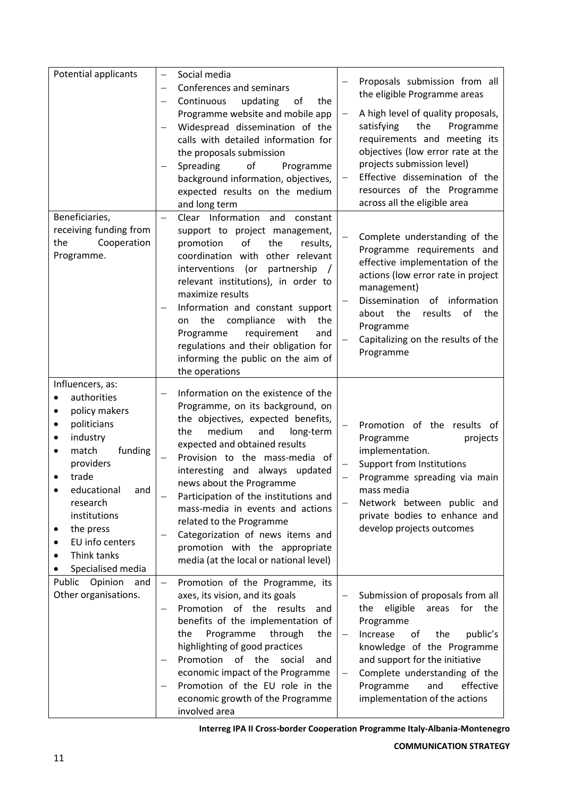| Potential applicants                                                                                                                                                                                                                                          | $\qquad \qquad -$                             | Social media<br>Conferences and seminars<br>Continuous<br>updating<br>the<br>of<br>Programme website and mobile app<br>Widespread dissemination of the<br>calls with detailed information for<br>the proposals submission<br>Spreading<br>οf<br>Programme<br>background information, objectives,<br>expected results on the medium<br>and long term                                                                                                                                                             | Proposals submission from all<br>the eligible Programme areas<br>A high level of quality proposals,<br>satisfying<br>the<br>Programme<br>requirements and meeting its<br>objectives (low error rate at the<br>projects submission level)<br>Effective dissemination of the<br>resources of the Programme<br>across all the eligible area |
|---------------------------------------------------------------------------------------------------------------------------------------------------------------------------------------------------------------------------------------------------------------|-----------------------------------------------|-----------------------------------------------------------------------------------------------------------------------------------------------------------------------------------------------------------------------------------------------------------------------------------------------------------------------------------------------------------------------------------------------------------------------------------------------------------------------------------------------------------------|------------------------------------------------------------------------------------------------------------------------------------------------------------------------------------------------------------------------------------------------------------------------------------------------------------------------------------------|
| Beneficiaries,<br>receiving funding from<br>Cooperation<br>the<br>Programme.                                                                                                                                                                                  | $\overline{\phantom{0}}$                      | Clear Information and constant<br>support to project management,<br>promotion<br>of<br>the<br>results,<br>coordination with<br>other relevant<br>interventions (or<br>partnership<br>relevant institutions), in order to<br>maximize results<br>Information and constant support<br>the compliance<br>with<br>the<br>on<br>Programme<br>requirement<br>and<br>regulations and their obligation for<br>informing the public on the aim of<br>the operations                                                      | Complete understanding of the<br>Programme requirements and<br>effective implementation of the<br>actions (low error rate in project<br>management)<br>Dissemination<br>of<br>information<br>the<br>of<br>the<br>about<br>results<br>Programme<br>Capitalizing on the results of the<br>Programme                                        |
| Influencers, as:<br>authorities<br>policy makers<br>٠<br>politicians<br>industry<br>funding<br>match<br>$\bullet$<br>providers<br>trade<br>educational<br>and<br>research<br>institutions<br>the press<br>EU info centers<br>Think tanks<br>Specialised media | $\overline{\phantom{0}}$                      | Information on the existence of the<br>Programme, on its background, on<br>the objectives, expected benefits,<br>the<br>medium<br>and<br>long-term<br>expected and obtained results<br>Provision to the mass-media of<br>interesting and always<br>updated<br>news about the Programme<br>Participation of the institutions and<br>mass-media in events and actions<br>related to the Programme<br>Categorization of news items and<br>promotion with the appropriate<br>media (at the local or national level) | Promotion of the results of<br>Programme<br>projects<br>implementation.<br><b>Support from Institutions</b><br>Programme spreading via main<br>mass media<br>Network between public and<br>private bodies to enhance and<br>develop projects outcomes                                                                                    |
| Opinion and<br>Public<br>Other organisations.                                                                                                                                                                                                                 | $\qquad \qquad -$<br>$\overline{\phantom{0}}$ | Promotion of the Programme, its<br>axes, its vision, and its goals<br>Promotion of the results<br>and<br>benefits of the implementation of<br>Programme<br>the<br>through<br>the<br>highlighting of good practices<br>Promotion<br>of the<br>social<br>and<br>economic impact of the Programme<br>Promotion of the EU role in the<br>economic growth of the Programme<br>involved area                                                                                                                          | Submission of proposals from all<br>eligible<br>for<br>the<br>the<br>areas<br>Programme<br>Increase<br>of<br>the<br>public's<br>knowledge of the Programme<br>and support for the initiative<br>Complete understanding of the<br>effective<br>Programme<br>and<br>implementation of the actions                                          |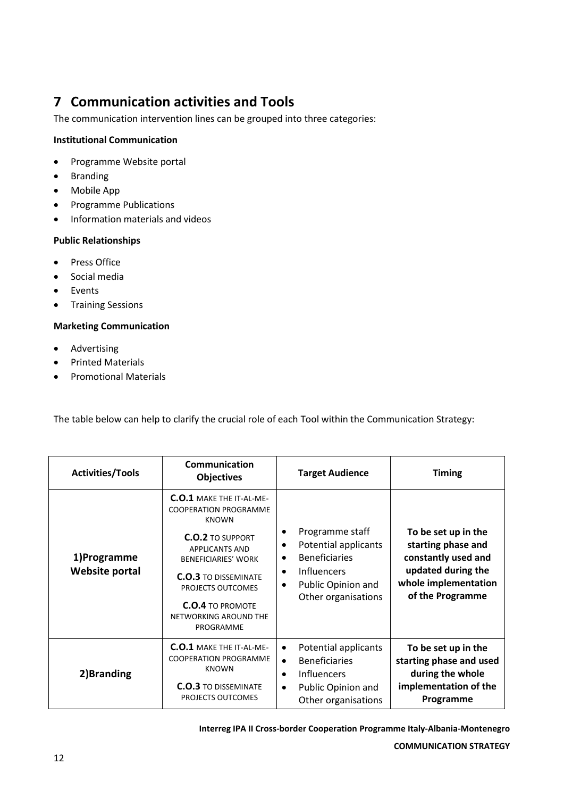### <span id="page-11-0"></span>**7 Communication activities and Tools**

The communication intervention lines can be grouped into three categories:

#### **Institutional Communication**

- Programme Website portal
- Branding
- Mobile App
- Programme Publications
- **•** Information materials and videos

#### **Public Relationships**

- Press Office
- Social media
- Events
- **•** Training Sessions

#### **Marketing Communication**

- Advertising
- Printed Materials
- Promotional Materials

The table below can help to clarify the crucial role of each Tool within the Communication Strategy:

| <b>Activities/Tools</b>       | <b>Communication</b><br><b>Objectives</b>                                                                                                                                                                                                                                              | <b>Target Audience</b>                                                                                                                                                                      | <b>Timing</b>                                                                                                                      |
|-------------------------------|----------------------------------------------------------------------------------------------------------------------------------------------------------------------------------------------------------------------------------------------------------------------------------------|---------------------------------------------------------------------------------------------------------------------------------------------------------------------------------------------|------------------------------------------------------------------------------------------------------------------------------------|
| 1)Programme<br>Website portal | <b>C.O.1 MAKE THE IT-AL-ME-</b><br><b>COOPERATION PROGRAMME</b><br><b>KNOWN</b><br><b>C.O.2 TO SUPPORT</b><br><b>APPLICANTS AND</b><br><b>BENEFICIARIES' WORK</b><br><b>C.O.3 TO DISSEMINATE</b><br>PROJECTS OUTCOMES<br><b>C.O.4 TO PROMOTE</b><br>NETWORKING AROUND THE<br>PROGRAMME | Programme staff<br>٠<br>Potential applicants<br>$\bullet$<br><b>Beneficiaries</b><br>$\bullet$<br><b>Influencers</b><br>$\bullet$<br>Public Opinion and<br>$\bullet$<br>Other organisations | To be set up in the<br>starting phase and<br>constantly used and<br>updated during the<br>whole implementation<br>of the Programme |
| 2) Branding                   | <b>C.O.1 MAKE THE IT-AL-ME-</b><br><b>COOPERATION PROGRAMME</b><br><b>KNOWN</b><br><b>C.O.3 TO DISSEMINATE</b><br>PROJECTS OUTCOMES                                                                                                                                                    | Potential applicants<br>$\bullet$<br><b>Beneficiaries</b><br>$\bullet$<br><b>Influencers</b><br>$\bullet$<br>Public Opinion and<br>$\bullet$<br>Other organisations                         | To be set up in the<br>starting phase and used<br>during the whole<br>implementation of the<br>Programme                           |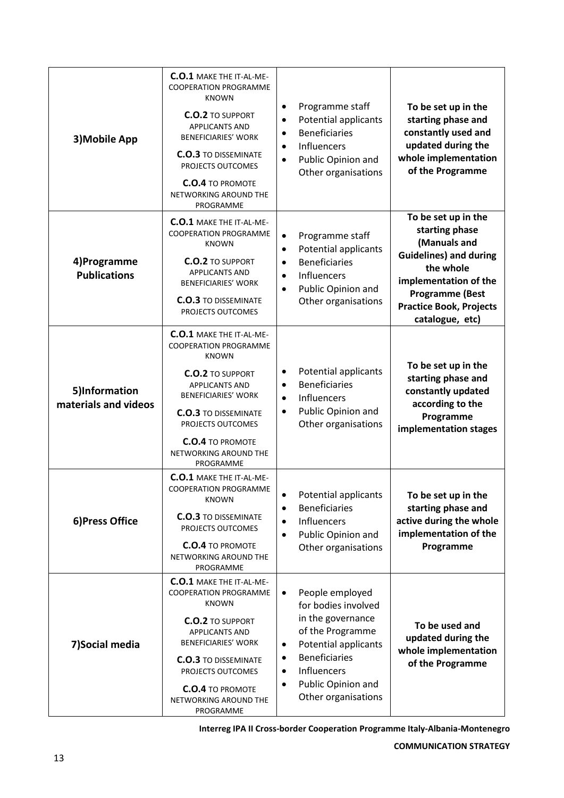| 3) Mobile App                         | <b>C.O.1 MAKE THE IT-AL-ME-</b><br><b>COOPERATION PROGRAMME</b><br><b>KNOWN</b><br><b>C.O.2 TO SUPPORT</b><br>APPLICANTS AND<br><b>BENEFICIARIES' WORK</b><br><b>C.O.3 TO DISSEMINATE</b><br>PROJECTS OUTCOMES<br><b>C.O.4 TO PROMOTE</b><br>NETWORKING AROUND THE<br>PROGRAMME        | Programme staff<br>$\bullet$<br>To be set up in the<br>Potential applicants<br>starting phase and<br>$\bullet$<br>constantly used and<br><b>Beneficiaries</b><br>$\bullet$<br>updated during the<br>Influencers<br>$\bullet$<br>whole implementation<br>Public Opinion and<br>$\bullet$<br>of the Programme<br>Other organisations                                                                          |
|---------------------------------------|----------------------------------------------------------------------------------------------------------------------------------------------------------------------------------------------------------------------------------------------------------------------------------------|-------------------------------------------------------------------------------------------------------------------------------------------------------------------------------------------------------------------------------------------------------------------------------------------------------------------------------------------------------------------------------------------------------------|
| 4)Programme<br><b>Publications</b>    | <b>C.O.1 MAKE THE IT-AL-ME-</b><br><b>COOPERATION PROGRAMME</b><br><b>KNOWN</b><br><b>C.O.2 TO SUPPORT</b><br>APPLICANTS AND<br><b>BENEFICIARIES' WORK</b><br><b>C.O.3 TO DISSEMINATE</b><br>PROJECTS OUTCOMES                                                                         | To be set up in the<br>starting phase<br>Programme staff<br>$\bullet$<br>(Manuals and<br>Potential applicants<br>$\bullet$<br><b>Guidelines) and during</b><br><b>Beneficiaries</b><br>$\bullet$<br>the whole<br>Influencers<br>$\bullet$<br>implementation of the<br>Public Opinion and<br>$\bullet$<br><b>Programme (Best</b><br>Other organisations<br><b>Practice Book, Projects</b><br>catalogue, etc) |
| 5)Information<br>materials and videos | <b>C.O.1 MAKE THE IT-AL-ME-</b><br><b>COOPERATION PROGRAMME</b><br><b>KNOWN</b><br><b>C.O.2 TO SUPPORT</b><br><b>APPLICANTS AND</b><br><b>BENEFICIARIES' WORK</b><br><b>C.O.3 TO DISSEMINATE</b><br>PROJECTS OUTCOMES<br><b>C.O.4 TO PROMOTE</b><br>NETWORKING AROUND THE<br>PROGRAMME | To be set up in the<br>Potential applicants<br>٠<br>starting phase and<br><b>Beneficiaries</b><br>$\bullet$<br>constantly updated<br>Influencers<br>$\bullet$<br>according to the<br>Public Opinion and<br>$\bullet$<br>Programme<br>Other organisations<br>implementation stages                                                                                                                           |
| 6) Press Office                       | <b>C.O.1 MAKE THE IT-AL-ME-</b><br><b>COOPERATION PROGRAMME</b><br><b>KNOWN</b><br><b>C.O.3 TO DISSEMINATE</b><br>PROJECTS OUTCOMES<br><b>C.O.4 TO PROMOTE</b><br>NETWORKING AROUND THE<br>PROGRAMME                                                                                   | Potential applicants<br>To be set up in the<br>$\bullet$<br><b>Beneficiaries</b><br>starting phase and<br>$\bullet$<br>active during the whole<br>Influencers<br>$\bullet$<br>implementation of the<br>Public Opinion and<br>$\bullet$<br>Programme<br>Other organisations                                                                                                                                  |
| 7) Social media                       | <b>C.O.1 MAKE THE IT-AL-ME-</b><br><b>COOPERATION PROGRAMME</b><br><b>KNOWN</b><br><b>C.O.2</b> TO SUPPORT<br>APPLICANTS AND<br><b>BENEFICIARIES' WORK</b><br><b>C.O.3 TO DISSEMINATE</b><br>PROJECTS OUTCOMES<br><b>C.O.4 TO PROMOTE</b><br>NETWORKING AROUND THE<br>PROGRAMME        | People employed<br>$\bullet$<br>for bodies involved<br>in the governance<br>To be used and<br>of the Programme<br>updated during the<br><b>Potential applicants</b><br>$\bullet$<br>whole implementation<br><b>Beneficiaries</b><br>$\bullet$<br>of the Programme<br>Influencers<br>$\bullet$<br>Public Opinion and<br>$\bullet$<br>Other organisations                                                     |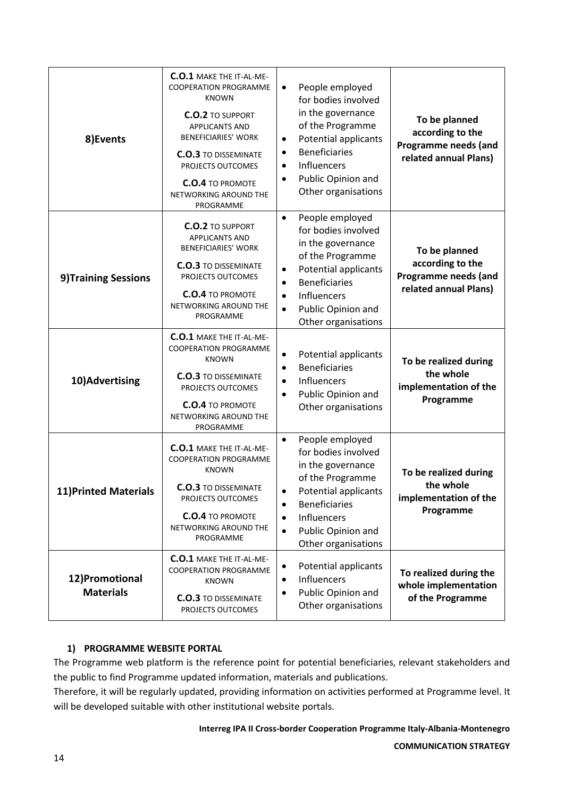| 8) Events                          | <b>C.O.1 MAKE THE IT-AL-ME-</b><br><b>COOPERATION PROGRAMME</b><br><b>KNOWN</b><br><b>C.O.2 TO SUPPORT</b><br><b>APPLICANTS AND</b><br><b>BENEFICIARIES' WORK</b><br><b>C.O.3 TO DISSEMINATE</b><br>PROJECTS OUTCOMES<br><b>C.O.4 TO PROMOTE</b><br>NETWORKING AROUND THE<br>PROGRAMME | People employed<br>$\bullet$<br>for bodies involved<br>in the governance<br>of the Programme<br>Potential applicants<br>$\bullet$<br><b>Beneficiaries</b><br>$\bullet$<br>Influencers<br>$\bullet$<br>Public Opinion and<br>$\bullet$<br>Other organisations | To be planned<br>according to the<br>Programme needs (and<br>related annual Plans) |
|------------------------------------|----------------------------------------------------------------------------------------------------------------------------------------------------------------------------------------------------------------------------------------------------------------------------------------|--------------------------------------------------------------------------------------------------------------------------------------------------------------------------------------------------------------------------------------------------------------|------------------------------------------------------------------------------------|
| 9) Training Sessions               | <b>C.O.2 TO SUPPORT</b><br><b>APPLICANTS AND</b><br><b>BENEFICIARIES' WORK</b><br><b>C.O.3 TO DISSEMINATE</b><br>PROJECTS OUTCOMES<br><b>C.O.4 TO PROMOTE</b><br>NETWORKING AROUND THE<br>PROGRAMME                                                                                    | People employed<br>$\bullet$<br>for bodies involved<br>in the governance<br>of the Programme<br>Potential applicants<br>$\bullet$<br><b>Beneficiaries</b><br>$\bullet$<br>Influencers<br>$\bullet$<br>Public Opinion and<br>$\bullet$<br>Other organisations | To be planned<br>according to the<br>Programme needs (and<br>related annual Plans) |
| 10) Advertising                    | <b>C.O.1 MAKE THE IT-AL-ME-</b><br><b>COOPERATION PROGRAMME</b><br><b>KNOWN</b><br><b>C.O.3 TO DISSEMINATE</b><br>PROJECTS OUTCOMES<br><b>C.O.4 TO PROMOTE</b><br>NETWORKING AROUND THE<br>PROGRAMME                                                                                   | Potential applicants<br>$\bullet$<br><b>Beneficiaries</b><br>$\bullet$<br>Influencers<br>$\bullet$<br>Public Opinion and<br>$\bullet$<br>Other organisations                                                                                                 | To be realized during<br>the whole<br>implementation of the<br>Programme           |
| <b>11)Printed Materials</b>        | <b>C.O.1 MAKE THE IT-AL-ME-</b><br><b>COOPERATION PROGRAMME</b><br><b>KNOWN</b><br><b>C.O.3 TO DISSEMINATE</b><br>PROJECTS OUTCOMES<br><b>C.O.4 TO PROMOTE</b><br>NETWORKING AROUND THE<br>PROGRAMME                                                                                   | People employed<br>$\bullet$<br>for bodies involved<br>in the governance<br>of the Programme<br>Potential applicants<br><b>Beneficiaries</b><br>Influencers<br>$\bullet$<br>Public Opinion and<br>$\bullet$<br>Other organisations                           | To be realized during<br>the whole<br>implementation of the<br>Programme           |
| 12)Promotional<br><b>Materials</b> | <b>C.O.1 MAKE THE IT-AL-ME-</b><br><b>COOPERATION PROGRAMME</b><br><b>KNOWN</b><br><b>C.O.3 TO DISSEMINATE</b><br>PROJECTS OUTCOMES                                                                                                                                                    | Potential applicants<br>$\bullet$<br>Influencers<br>$\bullet$<br>Public Opinion and<br>$\bullet$<br>Other organisations                                                                                                                                      | To realized during the<br>whole implementation<br>of the Programme                 |

#### **1) PROGRAMME WEBSITE PORTAL**

The Programme web platform is the reference point for potential beneficiaries, relevant stakeholders and the public to find Programme updated information, materials and publications.

Therefore, it will be regularly updated, providing information on activities performed at Programme level. It will be developed suitable with other institutional website portals.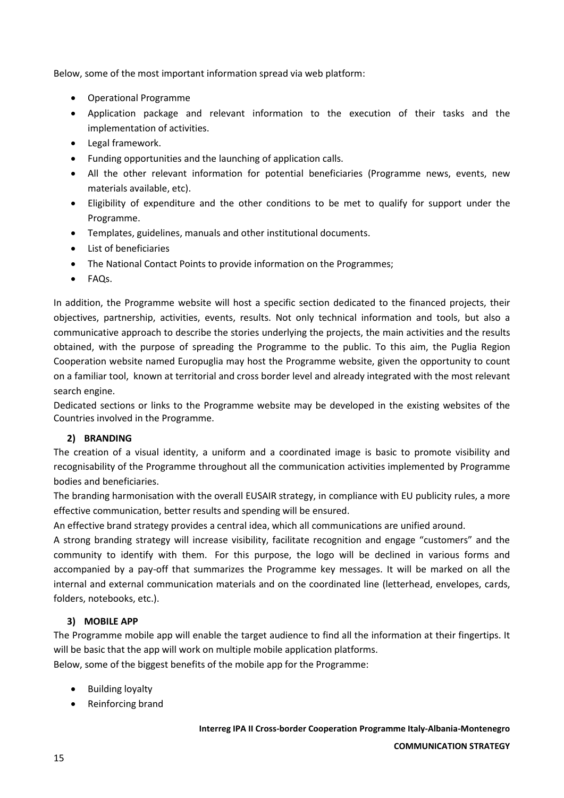Below, some of the most important information spread via web platform:

- Operational Programme
- Application package and relevant information to the execution of their tasks and the implementation of activities.
- Legal framework.
- Funding opportunities and the launching of application calls.
- All the other relevant information for potential beneficiaries (Programme news, events, new materials available, etc).
- Eligibility of expenditure and the other conditions to be met to qualify for support under the Programme.
- Templates, guidelines, manuals and other institutional documents.
- List of beneficiaries
- The National Contact Points to provide information on the Programmes;
- $\bullet$  FAQs.

In addition, the Programme website will host a specific section dedicated to the financed projects, their objectives, partnership, activities, events, results. Not only technical information and tools, but also a communicative approach to describe the stories underlying the projects, the main activities and the results obtained, with the purpose of spreading the Programme to the public. To this aim, the Puglia Region Cooperation website named Europuglia may host the Programme website, given the opportunity to count on a familiar tool, known at territorial and cross border level and already integrated with the most relevant search engine.

Dedicated sections or links to the Programme website may be developed in the existing websites of the Countries involved in the Programme.

#### **2) BRANDING**

The creation of a visual identity, a uniform and a coordinated image is basic to promote visibility and recognisability of the Programme throughout all the communication activities implemented by Programme bodies and beneficiaries.

The branding harmonisation with the overall EUSAIR strategy, in compliance with EU publicity rules, a more effective communication, better results and spending will be ensured.

An effective brand strategy provides a central idea, which all communications are unified around.

A strong branding strategy will increase visibility, facilitate recognition and engage "customers" and the community to identify with them. For this purpose, the logo will be declined in various forms and accompanied by a pay-off that summarizes the Programme key messages. It will be marked on all the internal and external communication materials and on the coordinated line (letterhead, envelopes, cards, folders, notebooks, etc.).

#### **3) MOBILE APP**

The Programme mobile app will enable the target audience to find all the information at their fingertips. It will be basic that the app will work on multiple mobile application platforms.

Below, some of the biggest benefits of the mobile app for the Programme:

- Building loyalty
- Reinforcing brand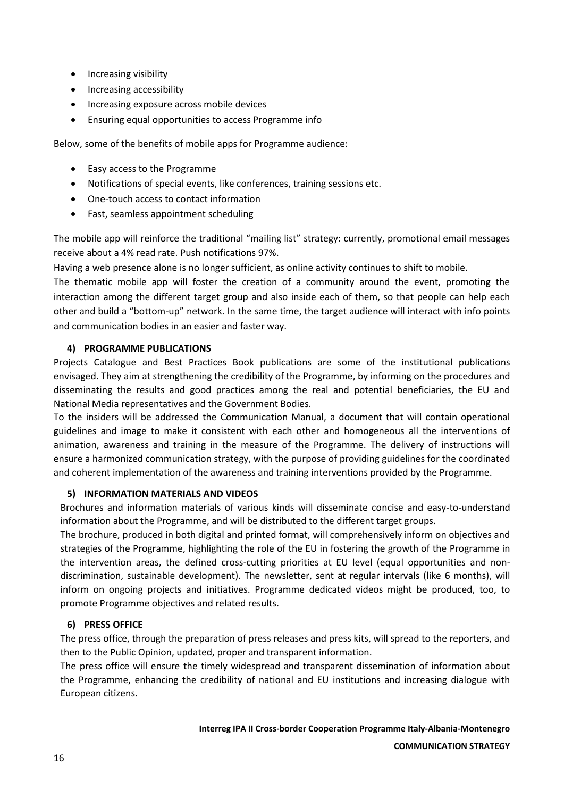- Increasing visibility
- Increasing accessibility
- Increasing exposure across mobile devices
- Ensuring equal opportunities to access Programme info

Below, some of the benefits of mobile apps for Programme audience:

- Easy access to the Programme
- Notifications of special events, like conferences, training sessions etc.
- One-touch access to contact information
- Fast, seamless appointment scheduling

The mobile app will reinforce the traditional "mailing list" strategy: currently, promotional email messages receive about a 4% read rate. Push notifications 97%.

Having a web presence alone is no longer sufficient, as online activity continues to shift to mobile.

The thematic mobile app will foster the creation of a community around the event, promoting the interaction among the different target group and also inside each of them, so that people can help each other and build a "bottom-up" network. In the same time, the target audience will interact with info points and communication bodies in an easier and faster way.

#### **4) PROGRAMME PUBLICATIONS**

Projects Catalogue and Best Practices Book publications are some of the institutional publications envisaged. They aim at strengthening the credibility of the Programme, by informing on the procedures and disseminating the results and good practices among the real and potential beneficiaries, the EU and National Media representatives and the Government Bodies.

To the insiders will be addressed the Communication Manual, a document that will contain operational guidelines and image to make it consistent with each other and homogeneous all the interventions of animation, awareness and training in the measure of the Programme. The delivery of instructions will ensure a harmonized communication strategy, with the purpose of providing guidelines for the coordinated and coherent implementation of the awareness and training interventions provided by the Programme.

#### **5) INFORMATION MATERIALS AND VIDEOS**

Brochures and information materials of various kinds will disseminate concise and easy-to-understand information about the Programme, and will be distributed to the different target groups.

The brochure, produced in both digital and printed format, will comprehensively inform on objectives and strategies of the Programme, highlighting the role of the EU in fostering the growth of the Programme in the intervention areas, the defined cross-cutting priorities at EU level (equal opportunities and nondiscrimination, sustainable development). The newsletter, sent at regular intervals (like 6 months), will inform on ongoing projects and initiatives. Programme dedicated videos might be produced, too, to promote Programme objectives and related results.

#### **6) PRESS OFFICE**

The press office, through the preparation of press releases and press kits, will spread to the reporters, and then to the Public Opinion, updated, proper and transparent information.

The press office will ensure the timely widespread and transparent dissemination of information about the Programme, enhancing the credibility of national and EU institutions and increasing dialogue with European citizens.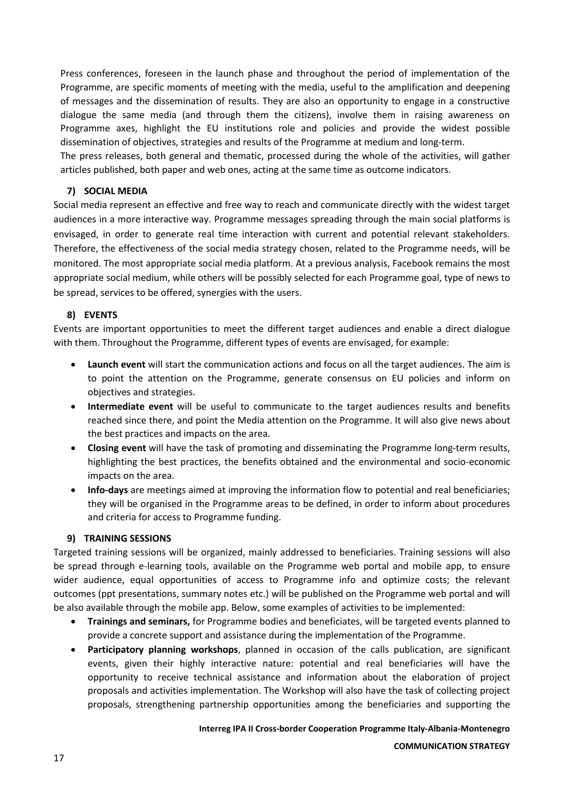Press conferences, foreseen in the launch phase and throughout the period of implementation of the Programme, are specific moments of meeting with the media, useful to the amplification and deepening of messages and the dissemination of results. They are also an opportunity to engage in a constructive dialogue the same media (and through them the citizens), involve them in raising awareness on Programme axes, highlight the EU institutions role and policies and provide the widest possible dissemination of objectives, strategies and results of the Programme at medium and long-term.

The press releases, both general and thematic, processed during the whole of the activities, will gather articles published, both paper and web ones, acting at the same time as outcome indicators.

#### **7) SOCIAL MEDIA**

Social media represent an effective and free way to reach and communicate directly with the widest target audiences in a more interactive way. Programme messages spreading through the main social platforms is envisaged, in order to generate real time interaction with current and potential relevant stakeholders. Therefore, the effectiveness of the social media strategy chosen, related to the Programme needs, will be monitored. The most appropriate social media platform. At a previous analysis, Facebook remains the most appropriate social medium, while others will be possibly selected for each Programme goal, type of news to be spread, services to be offered, synergies with the users.

#### **8) EVENTS**

Events are important opportunities to meet the different target audiences and enable a direct dialogue with them. Throughout the Programme, different types of events are envisaged, for example:

- **Launch event** will start the communication actions and focus on all the target audiences. The aim is to point the attention on the Programme, generate consensus on EU policies and inform on objectives and strategies.
- **Intermediate event** will be useful to communicate to the target audiences results and benefits reached since there, and point the Media attention on the Programme. It will also give news about the best practices and impacts on the area.
- **Closing event** will have the task of promoting and disseminating the Programme long-term results, highlighting the best practices, the benefits obtained and the environmental and socio-economic impacts on the area.
- **Info-days** are meetings aimed at improving the information flow to potential and real beneficiaries; they will be organised in the Programme areas to be defined, in order to inform about procedures and criteria for access to Programme funding.

#### **9) TRAINING SESSIONS**

Targeted training sessions will be organized, mainly addressed to beneficiaries. Training sessions will also be spread through e-learning tools, available on the Programme web portal and mobile app, to ensure wider audience, equal opportunities of access to Programme info and optimize costs; the relevant outcomes (ppt presentations, summary notes etc.) will be published on the Programme web portal and will be also available through the mobile app. Below, some examples of activities to be implemented:

- **Trainings and seminars,** for Programme bodies and beneficiates, will be targeted events planned to provide a concrete support and assistance during the implementation of the Programme.
- **Participatory planning workshops**, planned in occasion of the calls publication, are significant events, given their highly interactive nature: potential and real beneficiaries will have the opportunity to receive technical assistance and information about the elaboration of project proposals and activities implementation. The Workshop will also have the task of collecting project proposals, strengthening partnership opportunities among the beneficiaries and supporting the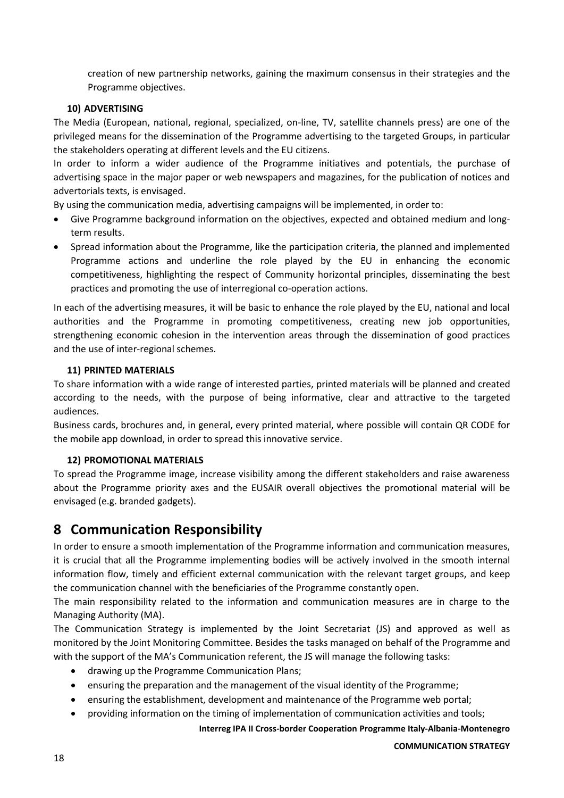creation of new partnership networks, gaining the maximum consensus in their strategies and the Programme objectives.

#### **10) ADVERTISING**

The Media (European, national, regional, specialized, on-line, TV, satellite channels press) are one of the privileged means for the dissemination of the Programme advertising to the targeted Groups, in particular the stakeholders operating at different levels and the EU citizens.

In order to inform a wider audience of the Programme initiatives and potentials, the purchase of advertising space in the major paper or web newspapers and magazines, for the publication of notices and advertorials texts, is envisaged.

By using the communication media, advertising campaigns will be implemented, in order to:

- Give Programme background information on the objectives, expected and obtained medium and longterm results.
- Spread information about the Programme, like the participation criteria, the planned and implemented Programme actions and underline the role played by the EU in enhancing the economic competitiveness, highlighting the respect of Community horizontal principles, disseminating the best practices and promoting the use of interregional co-operation actions.

In each of the advertising measures, it will be basic to enhance the role played by the EU, national and local authorities and the Programme in promoting competitiveness, creating new job opportunities, strengthening economic cohesion in the intervention areas through the dissemination of good practices and the use of inter-regional schemes.

#### **11) PRINTED MATERIALS**

To share information with a wide range of interested parties, printed materials will be planned and created according to the needs, with the purpose of being informative, clear and attractive to the targeted audiences.

Business cards, brochures and, in general, every printed material, where possible will contain QR CODE for the mobile app download, in order to spread this innovative service.

#### **12) PROMOTIONAL MATERIALS**

To spread the Programme image, increase visibility among the different stakeholders and raise awareness about the Programme priority axes and the EUSAIR overall objectives the promotional material will be envisaged (e.g. branded gadgets).

### <span id="page-17-0"></span>**8 Communication Responsibility**

In order to ensure a smooth implementation of the Programme information and communication measures, it is crucial that all the Programme implementing bodies will be actively involved in the smooth internal information flow, timely and efficient external communication with the relevant target groups, and keep the communication channel with the beneficiaries of the Programme constantly open.

The main responsibility related to the information and communication measures are in charge to the Managing Authority (MA).

The Communication Strategy is implemented by the Joint Secretariat (JS) and approved as well as monitored by the Joint Monitoring Committee. Besides the tasks managed on behalf of the Programme and with the support of the MA's Communication referent, the JS will manage the following tasks:

- drawing up the Programme Communication Plans;
- ensuring the preparation and the management of the visual identity of the Programme;
- ensuring the establishment, development and maintenance of the Programme web portal;
- providing information on the timing of implementation of communication activities and tools;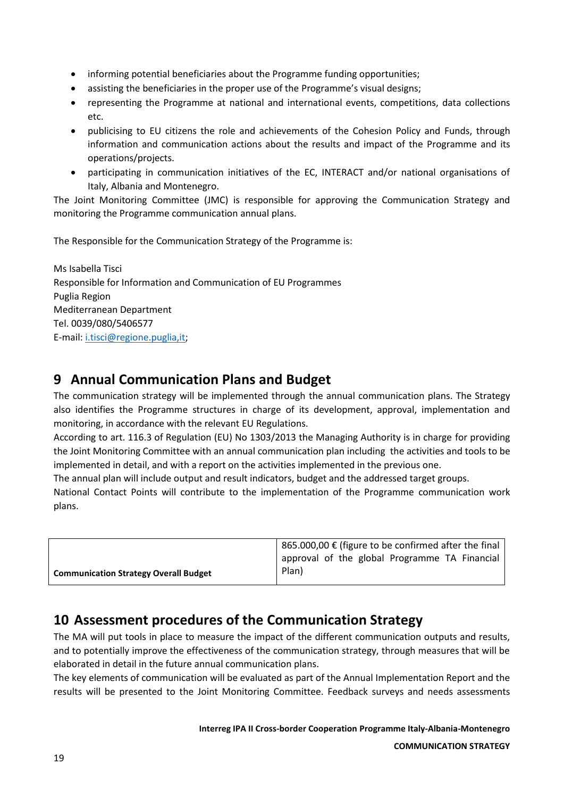- informing potential beneficiaries about the Programme funding opportunities;
- assisting the beneficiaries in the proper use of the Programme's visual designs;
- representing the Programme at national and international events, competitions, data collections etc.
- publicising to EU citizens the role and achievements of the Cohesion Policy and Funds, through information and communication actions about the results and impact of the Programme and its operations/projects.
- participating in communication initiatives of the EC, INTERACT and/or national organisations of Italy, Albania and Montenegro.

The Joint Monitoring Committee (JMC) is responsible for approving the Communication Strategy and monitoring the Programme communication annual plans.

The Responsible for the Communication Strategy of the Programme is:

Ms Isabella Tisci Responsible for Information and Communication of EU Programmes Puglia Region Mediterranean Department Tel. 0039/080/5406577 E-mail: [i.tisci@regione.puglia,it;](mailto:i.tisci@regione.puglia,it)

### <span id="page-18-0"></span>**9 Annual Communication Plans and Budget**

The communication strategy will be implemented through the annual communication plans. The Strategy also identifies the Programme structures in charge of its development, approval, implementation and monitoring, in accordance with the relevant EU Regulations.

According to art. 116.3 of Regulation (EU) No 1303/2013 the Managing Authority is in charge for providing the Joint Monitoring Committee with an annual communication plan including the activities and tools to be implemented in detail, and with a report on the activities implemented in the previous one.

The annual plan will include output and result indicators, budget and the addressed target groups.

National Contact Points will contribute to the implementation of the Programme communication work plans.

|                                              | $\frac{1}{2}$ 865.000,00 € (figure to be confirmed after the final |  |
|----------------------------------------------|--------------------------------------------------------------------|--|
|                                              | approval of the global Programme TA Financial                      |  |
| <b>Communication Strategy Overall Budget</b> | Plan)                                                              |  |

### <span id="page-18-1"></span>**10 Assessment procedures of the Communication Strategy**

The MA will put tools in place to measure the impact of the different communication outputs and results, and to potentially improve the effectiveness of the communication strategy, through measures that will be elaborated in detail in the future annual communication plans.

The key elements of communication will be evaluated as part of the Annual Implementation Report and the results will be presented to the Joint Monitoring Committee. Feedback surveys and needs assessments